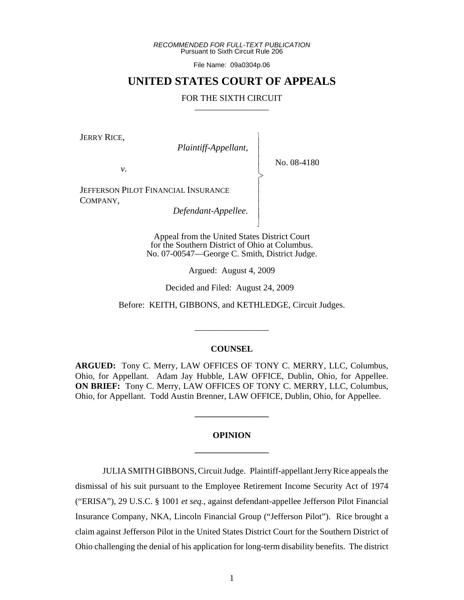*RECOMMENDED FOR FULL-TEXT PUBLICATION* Pursuant to Sixth Circuit Rule 206

File Name: 09a0304p.06

## **UNITED STATES COURT OF APPEALS**

#### FOR THE SIXTH CIRCUIT

 $\overline{\phantom{a}}$ - - - > , - - - - N

JERRY RICE,

 *Plaintiff-Appellant,*

No. 08-4180

*v.*

JEFFERSON PILOT FINANCIAL INSURANCE COMPANY,

 *Defendant-Appellee.*

Appeal from the United States District Court for the Southern District of Ohio at Columbus. No. 07-00547—George C. Smith, District Judge.

Argued: August 4, 2009

Decided and Filed: August 24, 2009

Before: KEITH, GIBBONS, and KETHLEDGE, Circuit Judges.

#### **COUNSEL**

\_\_\_\_\_\_\_\_\_\_\_\_\_\_\_\_\_

**ARGUED:** Tony C. Merry, LAW OFFICES OF TONY C. MERRY, LLC, Columbus, Ohio, for Appellant. Adam Jay Hubble, LAW OFFICE, Dublin, Ohio, for Appellee. **ON BRIEF:** Tony C. Merry, LAW OFFICES OF TONY C. MERRY, LLC, Columbus, Ohio, for Appellant. Todd Austin Brenner, LAW OFFICE, Dublin, Ohio, for Appellee.

# **OPINION \_\_\_\_\_\_\_\_\_\_\_\_\_\_\_\_\_**

**\_\_\_\_\_\_\_\_\_\_\_\_\_\_\_\_\_**

JULIA SMITH GIBBONS, Circuit Judge. Plaintiff-appellant Jerry Rice appeals the dismissal of his suit pursuant to the Employee Retirement Income Security Act of 1974 ("ERISA"), 29 U.S.C. § 1001 *et seq.*, against defendant-appellee Jefferson Pilot Financial Insurance Company, NKA, Lincoln Financial Group ("Jefferson Pilot"). Rice brought a claim against Jefferson Pilot in the United States District Court for the Southern District of Ohio challenging the denial of his application for long-term disability benefits. The district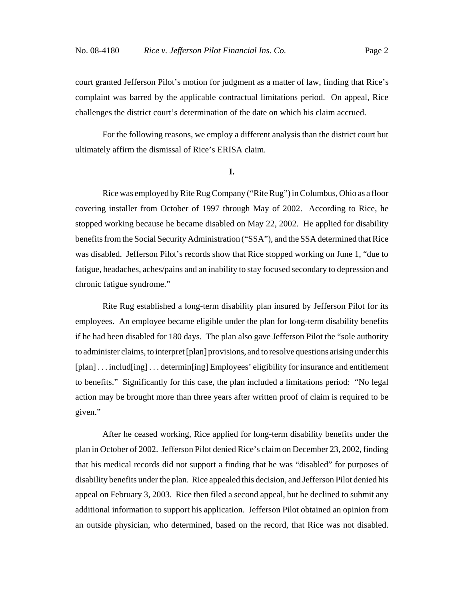court granted Jefferson Pilot's motion for judgment as a matter of law, finding that Rice's complaint was barred by the applicable contractual limitations period. On appeal, Rice challenges the district court's determination of the date on which his claim accrued.

For the following reasons, we employ a different analysis than the district court but ultimately affirm the dismissal of Rice's ERISA claim.

#### **I.**

Rice was employed by Rite Rug Company ("Rite Rug") in Columbus, Ohio as a floor covering installer from October of 1997 through May of 2002. According to Rice, he stopped working because he became disabled on May 22, 2002. He applied for disability benefits from the Social Security Administration ("SSA"), and the SSA determined that Rice was disabled. Jefferson Pilot's records show that Rice stopped working on June 1, "due to fatigue, headaches, aches/pains and an inability to stay focused secondary to depression and chronic fatigue syndrome."

Rite Rug established a long-term disability plan insured by Jefferson Pilot for its employees. An employee became eligible under the plan for long-term disability benefits if he had been disabled for 180 days. The plan also gave Jefferson Pilot the "sole authority to administer claims, to interpret [plan] provisions, and to resolve questions arising under this [plan] . . . includ[ing] . . . determin[ing] Employees' eligibility for insurance and entitlement to benefits." Significantly for this case, the plan included a limitations period: "No legal action may be brought more than three years after written proof of claim is required to be given."

After he ceased working, Rice applied for long-term disability benefits under the plan in October of 2002. Jefferson Pilot denied Rice's claim on December 23, 2002, finding that his medical records did not support a finding that he was "disabled" for purposes of disability benefits under the plan. Rice appealed this decision, and Jefferson Pilot denied his appeal on February 3, 2003. Rice then filed a second appeal, but he declined to submit any additional information to support his application. Jefferson Pilot obtained an opinion from an outside physician, who determined, based on the record, that Rice was not disabled.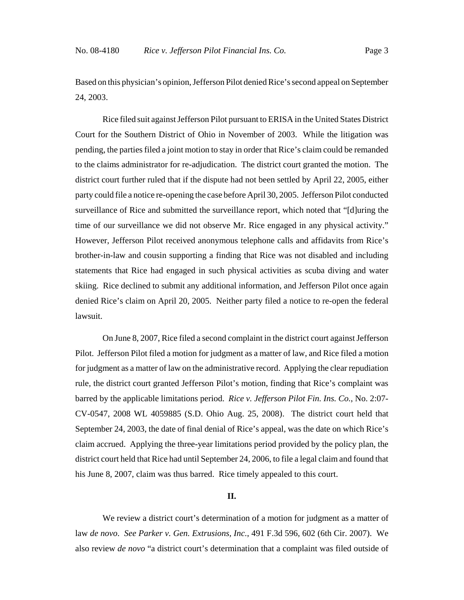Based on this physician's opinion, Jefferson Pilot denied Rice's second appeal on September 24, 2003.

Rice filed suit against Jefferson Pilot pursuant to ERISA in the United States District Court for the Southern District of Ohio in November of 2003. While the litigation was pending, the parties filed a joint motion to stay in order that Rice's claim could be remanded to the claims administrator for re-adjudication. The district court granted the motion. The district court further ruled that if the dispute had not been settled by April 22, 2005, either party could file a notice re-opening the case before April 30, 2005. Jefferson Pilot conducted surveillance of Rice and submitted the surveillance report, which noted that "[d]uring the time of our surveillance we did not observe Mr. Rice engaged in any physical activity." However, Jefferson Pilot received anonymous telephone calls and affidavits from Rice's brother-in-law and cousin supporting a finding that Rice was not disabled and including statements that Rice had engaged in such physical activities as scuba diving and water skiing. Rice declined to submit any additional information, and Jefferson Pilot once again denied Rice's claim on April 20, 2005. Neither party filed a notice to re-open the federal lawsuit.

On June 8, 2007, Rice filed a second complaint in the district court against Jefferson Pilot. Jefferson Pilot filed a motion for judgment as a matter of law, and Rice filed a motion for judgment as a matter of law on the administrative record. Applying the clear repudiation rule, the district court granted Jefferson Pilot's motion, finding that Rice's complaint was barred by the applicable limitations period. *Rice v. Jefferson Pilot Fin. Ins. Co.*, No. 2:07- CV-0547, 2008 WL 4059885 (S.D. Ohio Aug. 25, 2008). The district court held that September 24, 2003, the date of final denial of Rice's appeal, was the date on which Rice's claim accrued. Applying the three-year limitations period provided by the policy plan, the district court held that Rice had until September 24, 2006, to file a legal claim and found that his June 8, 2007, claim was thus barred. Rice timely appealed to this court.

#### **II.**

We review a district court's determination of a motion for judgment as a matter of law *de novo*. *See Parker v. Gen. Extrusions, Inc.*, 491 F.3d 596, 602 (6th Cir. 2007). We also review *de novo* "a district court's determination that a complaint was filed outside of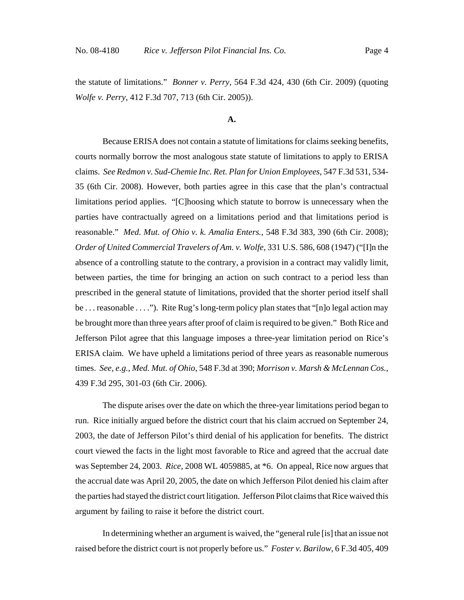the statute of limitations." *Bonner v. Perry*, 564 F.3d 424, 430 (6th Cir. 2009) (quoting *Wolfe v. Perry*, 412 F.3d 707, 713 (6th Cir. 2005)).

#### **A.**

Because ERISA does not contain a statute of limitations for claims seeking benefits, courts normally borrow the most analogous state statute of limitations to apply to ERISA claims. *See Redmon v. Sud-Chemie Inc. Ret. Plan for Union Employees*, 547 F.3d 531, 534- 35 (6th Cir. 2008). However, both parties agree in this case that the plan's contractual limitations period applies. "[C]hoosing which statute to borrow is unnecessary when the parties have contractually agreed on a limitations period and that limitations period is reasonable." *Med. Mut. of Ohio v. k. Amalia Enters.*, 548 F.3d 383, 390 (6th Cir. 2008); *Order of United Commercial Travelers of Am. v. Wolfe*, 331 U.S. 586, 608 (1947) ("[I]n the absence of a controlling statute to the contrary, a provision in a contract may validly limit, between parties, the time for bringing an action on such contract to a period less than prescribed in the general statute of limitations, provided that the shorter period itself shall be . . . reasonable . . . ."). Rite Rug's long-term policy plan states that "[n]o legal action may be brought more than three years after proof of claim is required to be given." Both Rice and Jefferson Pilot agree that this language imposes a three-year limitation period on Rice's ERISA claim. We have upheld a limitations period of three years as reasonable numerous times. *See, e.g.*, *Med. Mut. of Ohio*, 548 F.3d at 390; *Morrison v. Marsh & McLennan Cos.*, 439 F.3d 295, 301-03 (6th Cir. 2006).

The dispute arises over the date on which the three-year limitations period began to run. Rice initially argued before the district court that his claim accrued on September 24, 2003, the date of Jefferson Pilot's third denial of his application for benefits. The district court viewed the facts in the light most favorable to Rice and agreed that the accrual date was September 24, 2003. *Rice*, 2008 WL 4059885, at \*6. On appeal, Rice now argues that the accrual date was April 20, 2005, the date on which Jefferson Pilot denied his claim after the parties had stayed the district court litigation. Jefferson Pilot claims that Rice waived this argument by failing to raise it before the district court.

In determining whether an argument is waived, the "general rule [is] that an issue not raised before the district court is not properly before us." *Foster v. Barilow*, 6 F.3d 405, 409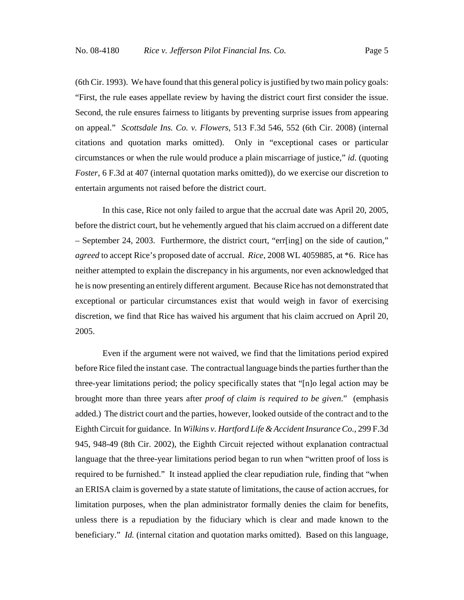(6th Cir. 1993). We have found that this general policy is justified by two main policy goals: "First, the rule eases appellate review by having the district court first consider the issue. Second, the rule ensures fairness to litigants by preventing surprise issues from appearing on appeal." *Scottsdale Ins. Co. v. Flowers*, 513 F.3d 546, 552 (6th Cir. 2008) (internal citations and quotation marks omitted). Only in "exceptional cases or particular circumstances or when the rule would produce a plain miscarriage of justice," *id*. (quoting *Foster*, 6 F.3d at 407 (internal quotation marks omitted)), do we exercise our discretion to entertain arguments not raised before the district court.

In this case, Rice not only failed to argue that the accrual date was April 20, 2005, before the district court, but he vehemently argued that his claim accrued on a different date – September 24, 2003. Furthermore, the district court, "err[ing] on the side of caution," *agreed* to accept Rice's proposed date of accrual. *Rice*, 2008 WL 4059885, at \*6. Rice has neither attempted to explain the discrepancy in his arguments, nor even acknowledged that he is now presenting an entirely different argument. Because Rice has not demonstrated that exceptional or particular circumstances exist that would weigh in favor of exercising discretion, we find that Rice has waived his argument that his claim accrued on April 20, 2005.

Even if the argument were not waived, we find that the limitations period expired before Rice filed the instant case. The contractual language binds the parties further than the three-year limitations period; the policy specifically states that "[n]o legal action may be brought more than three years after *proof of claim is required to be given*." (emphasis added.) The district court and the parties, however, looked outside of the contract and to the Eighth Circuit for guidance. In *Wilkins v. Hartford Life & Accident Insurance Co.*, 299 F.3d 945, 948-49 (8th Cir. 2002), the Eighth Circuit rejected without explanation contractual language that the three-year limitations period began to run when "written proof of loss is required to be furnished." It instead applied the clear repudiation rule, finding that "when an ERISA claim is governed by a state statute of limitations, the cause of action accrues, for limitation purposes, when the plan administrator formally denies the claim for benefits, unless there is a repudiation by the fiduciary which is clear and made known to the beneficiary." *Id.* (internal citation and quotation marks omitted). Based on this language,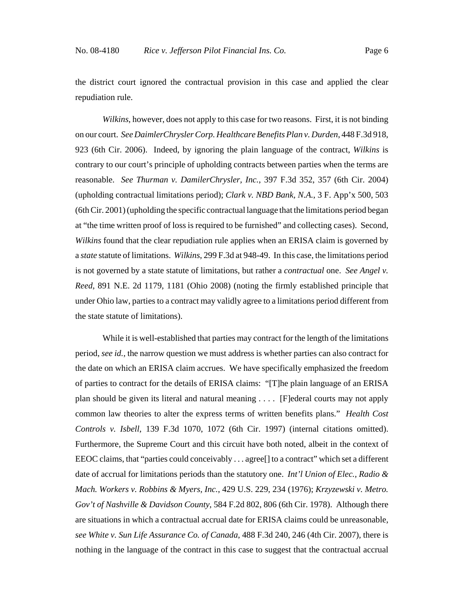the district court ignored the contractual provision in this case and applied the clear repudiation rule.

*Wilkins*, however, does not apply to this case for two reasons. First, it is not binding on our court. *See DaimlerChrysler Corp. Healthcare Benefits Plan v. Durden*, 448 F.3d 918, 923 (6th Cir. 2006). Indeed, by ignoring the plain language of the contract, *Wilkins* is contrary to our court's principle of upholding contracts between parties when the terms are reasonable. *See Thurman v. DamilerChrysler, Inc.*, 397 F.3d 352, 357 (6th Cir. 2004) (upholding contractual limitations period); *Clark v. NBD Bank, N.A.*, 3 F. App'x 500, 503 (6th Cir. 2001) (upholding the specific contractual language that the limitations period began at "the time written proof of loss is required to be furnished" and collecting cases). Second, *Wilkins* found that the clear repudiation rule applies when an ERISA claim is governed by a *state* statute of limitations. *Wilkins*, 299 F.3d at 948-49. In this case, the limitations period is not governed by a state statute of limitations, but rather a *contractual* one. *See Angel v. Reed*, 891 N.E. 2d 1179, 1181 (Ohio 2008) (noting the firmly established principle that under Ohio law, parties to a contract may validly agree to a limitations period different from the state statute of limitations).

While it is well-established that parties may contract for the length of the limitations period, *see id.*, the narrow question we must address is whether parties can also contract for the date on which an ERISA claim accrues. We have specifically emphasized the freedom of parties to contract for the details of ERISA claims: "[T]he plain language of an ERISA plan should be given its literal and natural meaning . . . . [F]ederal courts may not apply common law theories to alter the express terms of written benefits plans." *Health Cost Controls v. Isbell*, 139 F.3d 1070, 1072 (6th Cir. 1997) (internal citations omitted). Furthermore, the Supreme Court and this circuit have both noted, albeit in the context of EEOC claims, that "parties could conceivably . . . agree[] to a contract" which set a different date of accrual for limitations periods than the statutory one. *Int'l Union of Elec., Radio & Mach. Workers v. Robbins & Myers, Inc.*, 429 U.S. 229, 234 (1976); *Krzyzewski v. Metro. Gov't of Nashville & Davidson County*, 584 F.2d 802, 806 (6th Cir. 1978). Although there are situations in which a contractual accrual date for ERISA claims could be unreasonable, *see White v. Sun Life Assurance Co. of Canada*, 488 F.3d 240, 246 (4th Cir. 2007), there is nothing in the language of the contract in this case to suggest that the contractual accrual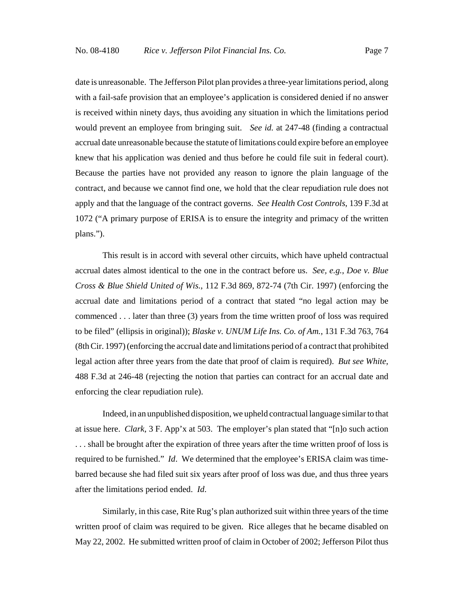date is unreasonable. The Jefferson Pilot plan provides a three-year limitations period, along with a fail-safe provision that an employee's application is considered denied if no answer is received within ninety days, thus avoiding any situation in which the limitations period would prevent an employee from bringing suit. *See id.* at 247-48 (finding a contractual accrual date unreasonable because the statute of limitations could expire before an employee knew that his application was denied and thus before he could file suit in federal court). Because the parties have not provided any reason to ignore the plain language of the contract, and because we cannot find one, we hold that the clear repudiation rule does not apply and that the language of the contract governs. *See Health Cost Controls*, 139 F.3d at 1072 ("A primary purpose of ERISA is to ensure the integrity and primacy of the written plans.").

This result is in accord with several other circuits, which have upheld contractual accrual dates almost identical to the one in the contract before us. *See, e.g.*, *Doe v. Blue Cross & Blue Shield United of Wis.*, 112 F.3d 869, 872-74 (7th Cir. 1997) (enforcing the accrual date and limitations period of a contract that stated "no legal action may be commenced . . . later than three (3) years from the time written proof of loss was required to be filed" (ellipsis in original)); *Blaske v. UNUM Life Ins. Co. of Am.*, 131 F.3d 763, 764 (8th Cir. 1997) (enforcing the accrual date and limitations period of a contract that prohibited legal action after three years from the date that proof of claim is required). *But see White*, 488 F.3d at 246-48 (rejecting the notion that parties can contract for an accrual date and enforcing the clear repudiation rule).

Indeed, in an unpublished disposition, we upheld contractual language similar to that at issue here. *Clark*, 3 F. App'x at 503. The employer's plan stated that "[n]o such action . . . shall be brought after the expiration of three years after the time written proof of loss is required to be furnished." *Id*. We determined that the employee's ERISA claim was timebarred because she had filed suit six years after proof of loss was due, and thus three years after the limitations period ended. *Id*.

Similarly, in this case, Rite Rug's plan authorized suit within three years of the time written proof of claim was required to be given. Rice alleges that he became disabled on May 22, 2002. He submitted written proof of claim in October of 2002; Jefferson Pilot thus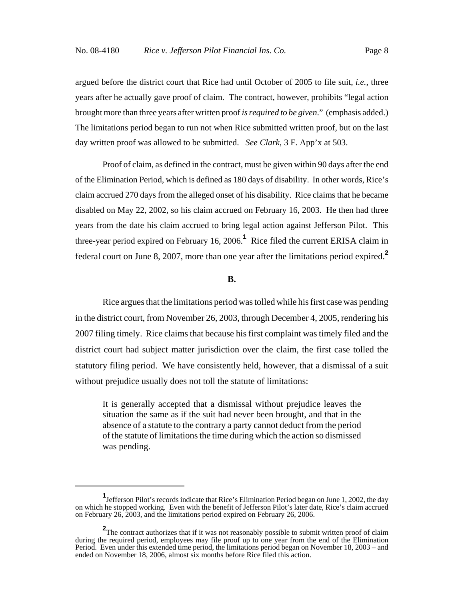argued before the district court that Rice had until October of 2005 to file suit, *i.e.*, three years after he actually gave proof of claim. The contract, however, prohibits "legal action brought more than three years after written proof *is required to be given*." (emphasis added.) The limitations period began to run not when Rice submitted written proof, but on the last day written proof was allowed to be submitted. *See Clark*, 3 F. App'x at 503.

Proof of claim, as defined in the contract, must be given within 90 days after the end of the Elimination Period, which is defined as 180 days of disability. In other words, Rice's claim accrued 270 days from the alleged onset of his disability. Rice claims that he became disabled on May 22, 2002, so his claim accrued on February 16, 2003. He then had three years from the date his claim accrued to bring legal action against Jefferson Pilot. This three-year period expired on February 16, 2006.**<sup>1</sup>** Rice filed the current ERISA claim in federal court on June 8, 2007, more than one year after the limitations period expired.**<sup>2</sup>**

#### **B.**

Rice argues that the limitations period was tolled while his first case was pending in the district court, from November 26, 2003, through December 4, 2005, rendering his 2007 filing timely. Rice claims that because his first complaint was timely filed and the district court had subject matter jurisdiction over the claim, the first case tolled the statutory filing period. We have consistently held, however, that a dismissal of a suit without prejudice usually does not toll the statute of limitations:

It is generally accepted that a dismissal without prejudice leaves the situation the same as if the suit had never been brought, and that in the absence of a statute to the contrary a party cannot deduct from the period of the statute of limitations the time during which the action so dismissed was pending.

**<sup>1</sup>** Jefferson Pilot's records indicate that Rice's Elimination Period began on June 1, 2002, the day on which he stopped working. Even with the benefit of Jefferson Pilot's later date, Rice's claim accrued on February 26, 2003, and the limitations period expired on February 26, 2006.

**<sup>2</sup>** The contract authorizes that if it was not reasonably possible to submit written proof of claim during the required period, employees may file proof up to one year from the end of the Elimination Period. Even under this extended time period, the limitations period began on November 18, 2003 – and ended on November 18, 2006, almost six months before Rice filed this action.